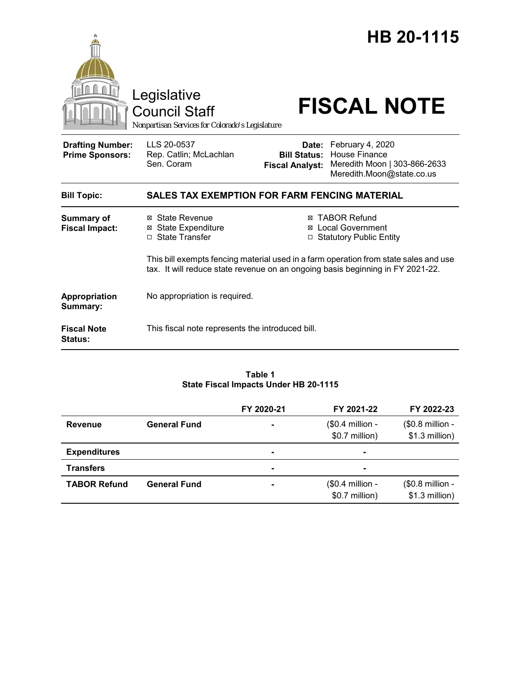|                                                   | Legislative<br><b>Council Staff</b><br>Nonpartisan Services for Colorado's Legislature                                                                                 |                                               | HB 20-1115<br><b>FISCAL NOTE</b>                                                                            |  |
|---------------------------------------------------|------------------------------------------------------------------------------------------------------------------------------------------------------------------------|-----------------------------------------------|-------------------------------------------------------------------------------------------------------------|--|
| <b>Drafting Number:</b><br><b>Prime Sponsors:</b> | LLS 20-0537<br>Rep. Catlin; McLachlan<br>Sen. Coram                                                                                                                    | <b>Bill Status:</b><br><b>Fiscal Analyst:</b> | Date: February 4, 2020<br><b>House Finance</b><br>Meredith Moon   303-866-2633<br>Meredith.Moon@state.co.us |  |
| <b>Bill Topic:</b>                                | <b>SALES TAX EXEMPTION FOR FARM FENCING MATERIAL</b>                                                                                                                   |                                               |                                                                                                             |  |
| <b>Summary of</b><br><b>Fiscal Impact:</b>        | ⊠ State Revenue<br><b>⊠</b> State Expenditure<br>□ State Transfer                                                                                                      |                                               | ⊠ TABOR Refund<br>⊠ Local Government<br>□ Statutory Public Entity                                           |  |
|                                                   | This bill exempts fencing material used in a farm operation from state sales and use<br>tax. It will reduce state revenue on an ongoing basis beginning in FY 2021-22. |                                               |                                                                                                             |  |
| Appropriation<br>Summary:                         | No appropriation is required.                                                                                                                                          |                                               |                                                                                                             |  |
| <b>Fiscal Note</b><br><b>Status:</b>              | This fiscal note represents the introduced bill.                                                                                                                       |                                               |                                                                                                             |  |

#### **Table 1 State Fiscal Impacts Under HB 20-1115**

|                     |                     | FY 2020-21     | FY 2021-22                         | FY 2022-23                         |
|---------------------|---------------------|----------------|------------------------------------|------------------------------------|
| <b>Revenue</b>      | <b>General Fund</b> |                | (\$0.4 million -<br>\$0.7 million) | (\$0.8 million -<br>\$1.3 million) |
| <b>Expenditures</b> |                     | $\blacksquare$ | $\blacksquare$                     |                                    |
| <b>Transfers</b>    |                     | $\sim$         |                                    |                                    |
| <b>TABOR Refund</b> | <b>General Fund</b> | $\blacksquare$ | (\$0.4 million -<br>\$0.7 million) | (\$0.8 million -<br>\$1.3 million) |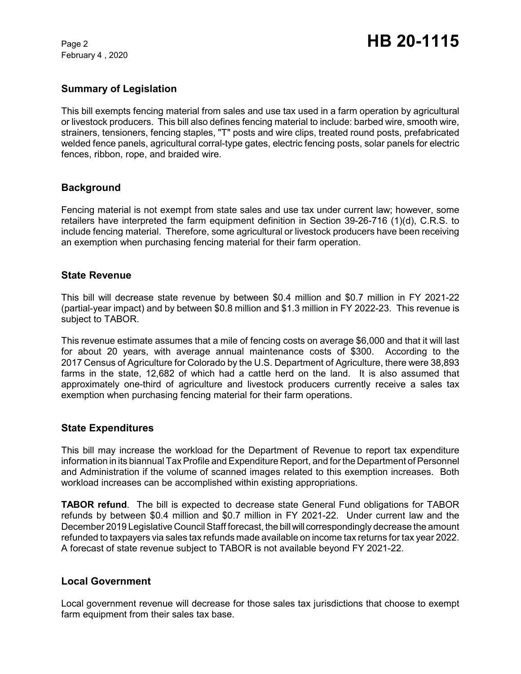February 4 , 2020

# **Summary of Legislation**

This bill exempts fencing material from sales and use tax used in a farm operation by agricultural or livestock producers. This bill also defines fencing material to include: barbed wire, smooth wire, strainers, tensioners, fencing staples, "T" posts and wire clips, treated round posts, prefabricated welded fence panels, agricultural corral-type gates, electric fencing posts, solar panels for electric fences, ribbon, rope, and braided wire.

# **Background**

Fencing material is not exempt from state sales and use tax under current law; however, some retailers have interpreted the farm equipment definition in Section 39-26-716 (1)(d), C.R.S. to include fencing material. Therefore, some agricultural or livestock producers have been receiving an exemption when purchasing fencing material for their farm operation.

### **State Revenue**

This bill will decrease state revenue by between \$0.4 million and \$0.7 million in FY 2021-22 (partial-year impact) and by between \$0.8 million and \$1.3 million in FY 2022-23. This revenue is subject to TABOR.

This revenue estimate assumes that a mile of fencing costs on average \$6,000 and that it will last for about 20 years, with average annual maintenance costs of \$300. According to the 2017 Census of Agriculture for Colorado by the U.S. Department of Agriculture, there were 38,893 farms in the state, 12,682 of which had a cattle herd on the land. It is also assumed that approximately one-third of agriculture and livestock producers currently receive a sales tax exemption when purchasing fencing material for their farm operations.

### **State Expenditures**

This bill may increase the workload for the Department of Revenue to report tax expenditure information in its biannual Tax Profile and Expenditure Report, and for the Department of Personnel and Administration if the volume of scanned images related to this exemption increases. Both workload increases can be accomplished within existing appropriations.

**TABOR refund**. The bill is expected to decrease state General Fund obligations for TABOR refunds by between \$0.4 million and \$0.7 million in FY 2021-22. Under current law and the December 2019 Legislative Council Staff forecast, the bill will correspondingly decrease the amount refunded to taxpayers via sales tax refunds made available on income tax returns for tax year 2022. A forecast of state revenue subject to TABOR is not available beyond FY 2021-22.

### **Local Government**

Local government revenue will decrease for those sales tax jurisdictions that choose to exempt farm equipment from their sales tax base.